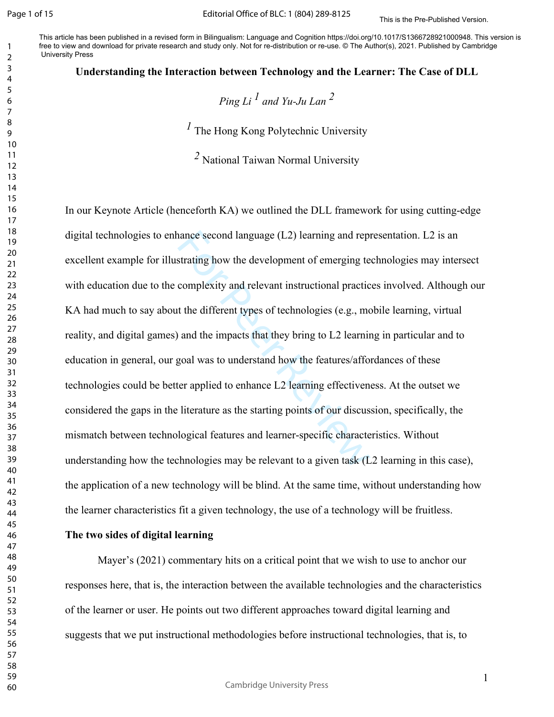This is the Pre-Published Version. This article has been published in a revised form in Bilingualism: Language and Cognition https://doi.org/10.1017/S1366728921000948. This version is free to view and download for private research and study only. Not for re-distribution or re-use. © The Author(s), 2021. Published by Cambridge University Press

#### **Understanding the Interaction between Technology and the Learner: The Case of DLL**

*Ping Li*  $^1$  and Yu-Ju Lan  $^2$ 

The Hong Kong Polytechnic University

National Taiwan Normal University

nance second language (L2) learning and representating how the development of emerging te complexity and relevant instructional practic t the different types of technologies (e.g., mo and the impacts that they bring to L2 In our Keynote Article (henceforth KA) we outlined the DLL framework for using cutting-edge digital technologies to enhance second language (L2) learning and representation. L2 is an excellent example for illustrating how the development of emerging technologies may intersect with education due to the complexity and relevant instructional practices involved. Although our KA had much to say about the different types of technologies (e.g., mobile learning, virtual reality, and digital games) and the impacts that they bring to L2 learning in particular and to education in general, our goal was to understand how the features/affordances of these technologies could be better applied to enhance L2 learning effectiveness. At the outset we considered the gaps in the literature as the starting points of our discussion, specifically, the mismatch between technological features and learner-specific characteristics. Without understanding how the technologies may be relevant to a given task (L2 learning in this case), the application of a new technology will be blind. At the same time, without understanding how the learner characteristics fit a given technology, the use of a technology will be fruitless.

## **The two sides of digital learning**

Mayer's (2021) commentary hits on a critical point that we wish to use to anchor our responses here, that is, the interaction between the available technologies and the characteristics of the learner or user. He points out two different approaches toward digital learning and suggests that we put instructional methodologies before instructional technologies, that is, to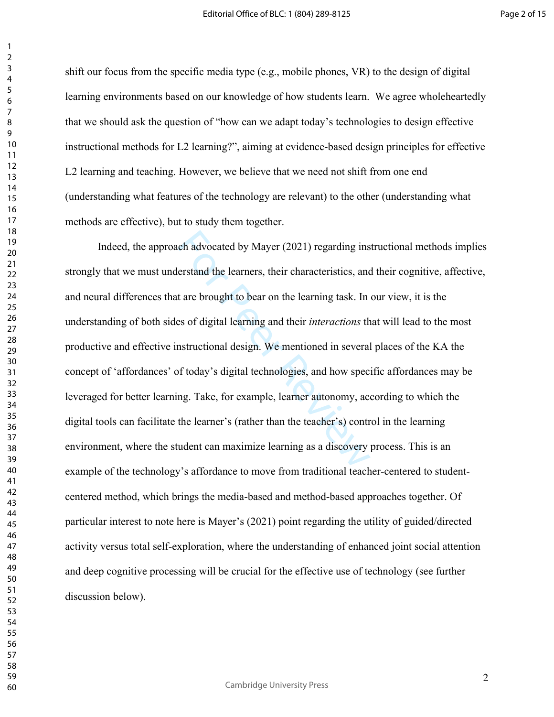shift our focus from the specific media type (e.g., mobile phones, VR) to the design of digital learning environments based on our knowledge of how students learn. We agree wholeheartedly that we should ask the question of "how can we adapt today's technologies to design effective instructional methods for L2 learning?", aiming at evidence-based design principles for effective L2 learning and teaching. However, we believe that we need not shift from one end (understanding what features of the technology are relevant) to the other (understanding what methods are effective), but to study them together.

ch advocated by Mayer (2021) regarding ins<br>erstand the learners, their characteristics, and<br>t are brought to bear on the learning task. In<br>es of digital learning and their *interactions* th<br>mstructional design. We mentione Indeed, the approach advocated by Mayer (2021) regarding instructional methods implies strongly that we must understand the learners, their characteristics, and their cognitive, affective, and neural differences that are brought to bear on the learning task. In our view, it is the understanding of both sides of digital learning and their *interactions* that will lead to the most productive and effective instructional design. We mentioned in several places of the KA the concept of 'affordances' of today's digital technologies, and how specific affordances may be leveraged for better learning. Take, for example, learner autonomy, according to which the digital tools can facilitate the learner's (rather than the teacher's) control in the learning environment, where the student can maximize learning as a discovery process. This is an example of the technology's affordance to move from traditional teacher-centered to studentcentered method, which brings the media-based and method-based approaches together. Of particular interest to note here is Mayer's (2021) point regarding the utility of guided/directed activity versus total self-exploration, where the understanding of enhanced joint social attention and deep cognitive processing will be crucial for the effective use of technology (see further discussion below).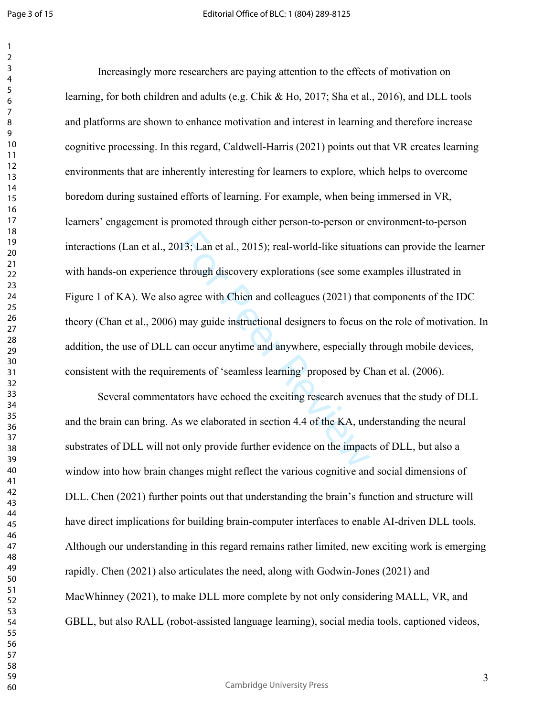$\mathbf{1}$ 

13; Lan et al., 2015); real-world-like situation<br>through discovery explorations (see some ex-<br>agree with Chien and colleagues (2021) that<br>may guide instructional designers to focus of<br>can occur anytime and anywhere, espec Increasingly more researchers are paying attention to the effects of motivation on learning, for both children and adults (e.g. Chik & Ho, 2017; Sha et al., 2016), and DLL tools and platforms are shown to enhance motivation and interest in learning and therefore increase cognitive processing. In this regard, Caldwell-Harris (2021) points out that VR creates learning environments that are inherently interesting for learners to explore, which helps to overcome boredom during sustained efforts of learning. For example, when being immersed in VR, learners' engagement is promoted through either person-to-person or environment-to-person interactions (Lan et al., 2013; Lan et al., 2015); real-world-like situations can provide the learner with hands-on experience through discovery explorations (see some examples illustrated in Figure 1 of KA). We also agree with Chien and colleagues (2021) that components of the IDC theory (Chan et al., 2006) may guide instructional designers to focus on the role of motivation. In addition, the use of DLL can occur anytime and anywhere, especially through mobile devices, consistent with the requirements of 'seamless learning' proposed by Chan et al. (2006).

Several commentators have echoed the exciting research avenues that the study of DLL and the brain can bring. As we elaborated in section 4.4 of the KA, understanding the neural substrates of DLL will not only provide further evidence on the impacts of DLL, but also a window into how brain changes might reflect the various cognitive and social dimensions of DLL. Chen (2021) further points out that understanding the brain's function and structure will have direct implications for building brain-computer interfaces to enable AI-driven DLL tools. Although our understanding in this regard remains rather limited, new exciting work is emerging rapidly. Chen (2021) also articulates the need, along with Godwin-Jones (2021) and MacWhinney (2021), to make DLL more complete by not only considering MALL, VR, and GBLL, but also RALL (robot-assisted language learning), social media tools, captioned videos,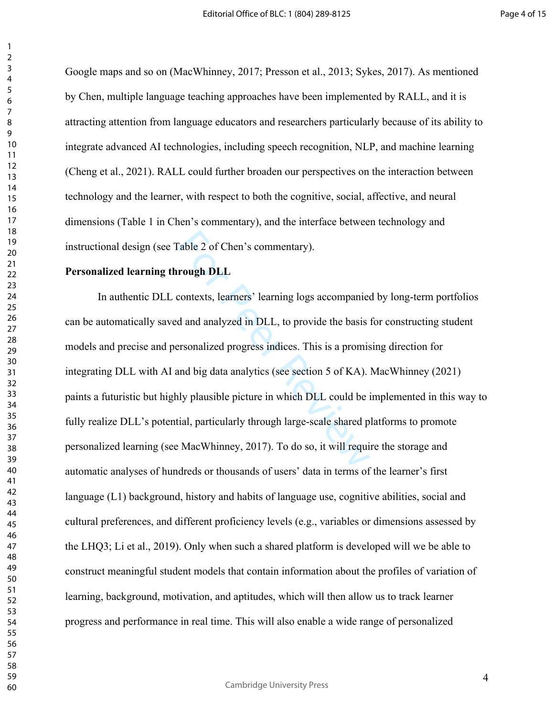Google maps and so on (MacWhinney, 2017; Presson et al., 2013; Sykes, 2017). As mentioned by Chen, multiple language teaching approaches have been implemented by RALL, and it is attracting attention from language educators and researchers particularly because of its ability to integrate advanced AI technologies, including speech recognition, NLP, and machine learning (Cheng et al., 2021). RALL could further broaden our perspectives on the interaction between technology and the learner, with respect to both the cognitive, social, affective, and neural dimensions (Table 1 in Chen's commentary), and the interface between technology and instructional design (see Table 2 of Chen's commentary).

### **Personalized learning through DLL**

Table 2 of Chen's commentary).<br> **rough DLL**<br>
contexts, learners' learning logs accompanied<br>
d and analyzed in DLL, to provide the basis are<br>
resonalized progress indices. This is a promis<br>
and big data analytics (see secti In authentic DLL contexts, learners' learning logs accompanied by long-term portfolios can be automatically saved and analyzed in DLL, to provide the basis for constructing student models and precise and personalized progress indices. This is a promising direction for integrating DLL with AI and big data analytics (see section 5 of KA). MacWhinney (2021) paints a futuristic but highly plausible picture in which DLL could be implemented in this way to fully realize DLL's potential, particularly through large-scale shared platforms to promote personalized learning (see MacWhinney, 2017). To do so, it will require the storage and automatic analyses of hundreds or thousands of users' data in terms of the learner's first language (L1) background, history and habits of language use, cognitive abilities, social and cultural preferences, and different proficiency levels (e.g., variables or dimensions assessed by the LHQ3; Li et al., 2019). Only when such a shared platform is developed will we be able to construct meaningful student models that contain information about the profiles of variation of learning, background, motivation, and aptitudes, which will then allow us to track learner progress and performance in real time. This will also enable a wide range of personalized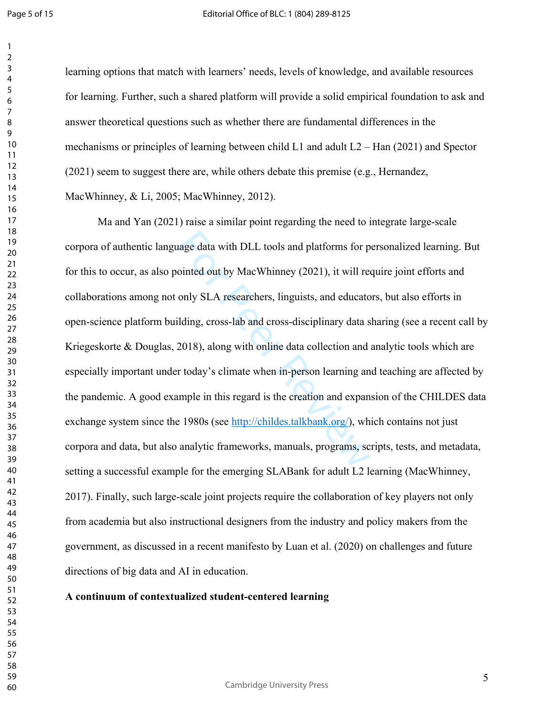learning options that match with learners' needs, levels of knowledge, and available resources for learning. Further, such a shared platform will provide a solid empirical foundation to ask and answer theoretical questions such as whether there are fundamental differences in the mechanisms or principles of learning between child L1 and adult L2 – Han (2021) and Spector (2021) seem to suggest there are, while others debate this premise (e.g., Hernandez, MacWhinney, & Li, 2005; MacWhinney, 2012).

age data with DLL tools and platforms for p<br>ointed out by MacWhinney (2021), it will rea<br>only SLA researchers, linguists, and educato<br>lding, cross-lab and cross-disciplinary data s<br>2018), along with online data collection Ma and Yan (2021) raise a similar point regarding the need to integrate large-scale corpora of authentic language data with DLL tools and platforms for personalized learning. But for this to occur, as also pointed out by MacWhinney (2021), it will require joint efforts and collaborations among not only SLA researchers, linguists, and educators, but also efforts in open-science platform building, cross-lab and cross-disciplinary data sharing (see a recent call by Kriegeskorte & Douglas, 2018), along with online data collection and analytic tools which are especially important under today's climate when in-person learning and teaching are affected by the pandemic. A good example in this regard is the creation and expansion of the CHILDES data exchange system since the 1980s (see http://childes.talkbank.org/), which contains not just corpora and data, but also analytic frameworks, manuals, programs, scripts, tests, and metadata, setting a successful example for the emerging SLABank for adult L2 learning (MacWhinney, 2017). Finally, such large-scale joint projects require the collaboration of key players not only from academia but also instructional designers from the industry and policy makers from the government, as discussed in a recent manifesto by Luan et al. (2020) on challenges and future directions of big data and AI in education.

# **A continuum of contextualized student-centered learning**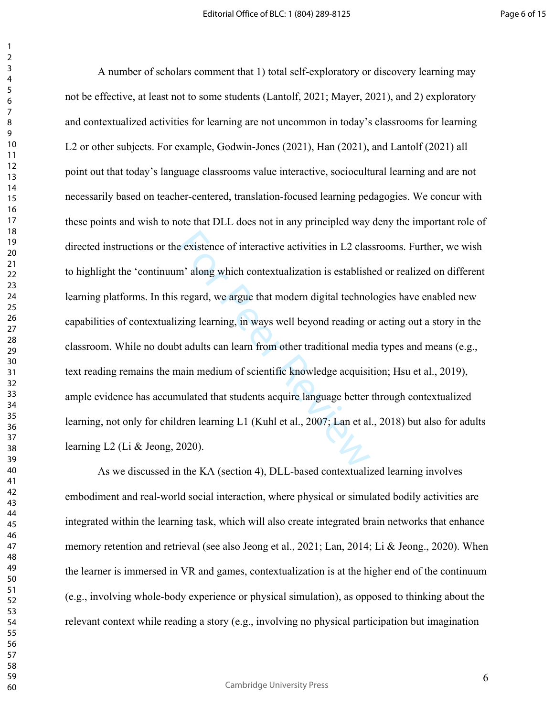e existence of interactive activities in L2 clas<br>m' along which contextualization is establish<br>regard, we argue that modern digital technol<br>zing learning, in ways well beyond reading c<br>ot adults can learn from other tradit A number of scholars comment that 1) total self-exploratory or discovery learning may not be effective, at least not to some students (Lantolf, 2021; Mayer, 2021), and 2) exploratory and contextualized activities for learning are not uncommon in today's classrooms for learning L2 or other subjects. For example, Godwin-Jones (2021), Han (2021), and Lantolf (2021) all point out that today's language classrooms value interactive, sociocultural learning and are not necessarily based on teacher-centered, translation-focused learning pedagogies. We concur with these points and wish to note that DLL does not in any principled way deny the important role of directed instructions or the existence of interactive activities in L2 classrooms. Further, we wish to highlight the 'continuum' along which contextualization is established or realized on different learning platforms. In this regard, we argue that modern digital technologies have enabled new capabilities of contextualizing learning, in ways well beyond reading or acting out a story in the classroom. While no doubt adults can learn from other traditional media types and means (e.g., text reading remains the main medium of scientific knowledge acquisition; Hsu et al., 2019), ample evidence has accumulated that students acquire language better through contextualized learning, not only for children learning L1 (Kuhl et al., 2007; Lan et al., 2018) but also for adults learning L2 (Li & Jeong, 2020).

As we discussed in the KA (section 4), DLL-based contextualized learning involves embodiment and real-world social interaction, where physical or simulated bodily activities are integrated within the learning task, which will also create integrated brain networks that enhance memory retention and retrieval (see also Jeong et al., 2021; Lan, 2014; Li & Jeong., 2020). When the learner is immersed in VR and games, contextualization is at the higher end of the continuum (e.g., involving whole-body experience or physical simulation), as opposed to thinking about the relevant context while reading a story (e.g., involving no physical participation but imagination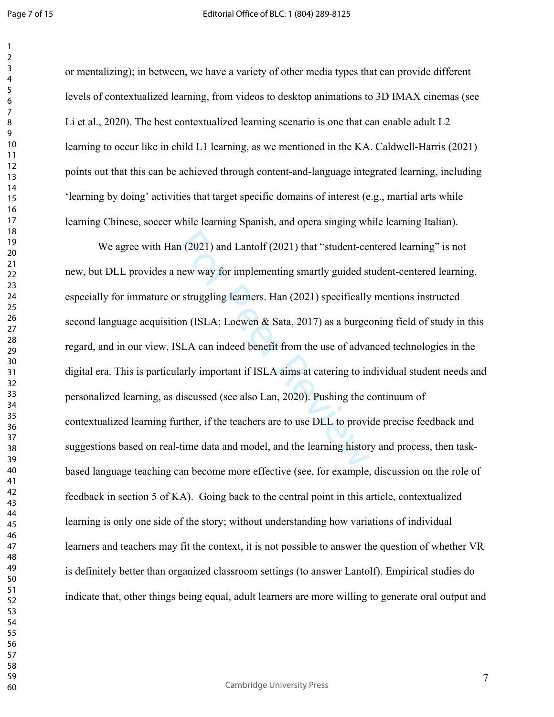or mentalizing); in between, we have a variety of other media types that can provide different levels of contextualized learning, from videos to desktop animations to 3D IMAX cinemas (see Li et al., 2020). The best contextualized learning scenario is one that can enable adult L2 learning to occur like in child L1 learning, as we mentioned in the KA. Caldwell-Harris (2021) points out that this can be achieved through content-and-language integrated learning, including 'learning by doing' activities that target specific domains of interest (e.g., martial arts while learning Chinese, soccer while learning Spanish, and opera singing while learning Italian).

n (2021) and Lantolf (2021) that "student-cendine<br>mew way for implementing smartly guided store in the struggling learners. Han (2021) specifically<br>on (ISLA; Loewen & Sata, 2017) as a burged<br>SLA can indeed benefit from th We agree with Han (2021) and Lantolf (2021) that "student-centered learning" is not new, but DLL provides a new way for implementing smartly guided student-centered learning, especially for immature or struggling learners. Han (2021) specifically mentions instructed second language acquisition (ISLA; Loewen & Sata, 2017) as a burgeoning field of study in this regard, and in our view, ISLA can indeed benefit from the use of advanced technologies in the digital era. This is particularly important if ISLA aims at catering to individual student needs and personalized learning, as discussed (see also Lan, 2020). Pushing the continuum of contextualized learning further, if the teachers are to use DLL to provide precise feedback and suggestions based on real-time data and model, and the learning history and process, then taskbased language teaching can become more effective (see, for example, discussion on the role of feedback in section 5 of KA). Going back to the central point in this article, contextualized learning is only one side of the story; without understanding how variations of individual learners and teachers may fit the context, it is not possible to answer the question of whether VR is definitely better than organized classroom settings (to answer Lantolf). Empirical studies do indicate that, other things being equal, adult learners are more willing to generate oral output and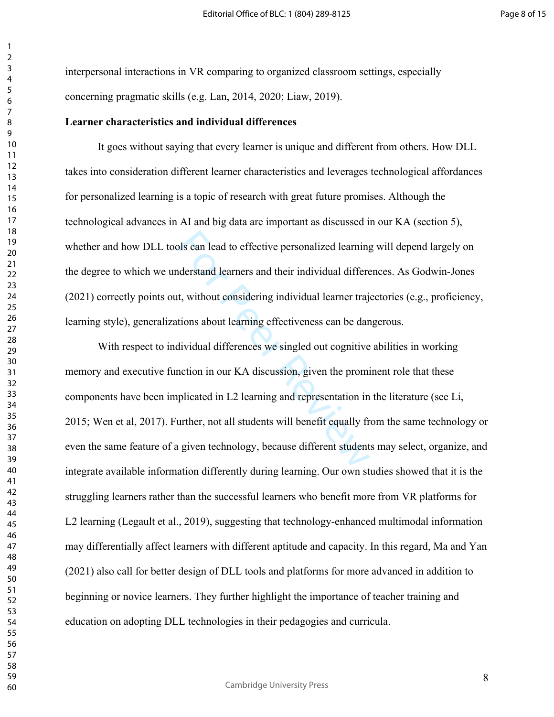interpersonal interactions in VR comparing to organized classroom settings, especially concerning pragmatic skills (e.g. Lan, 2014, 2020; Liaw, 2019).

#### **Learner characteristics and individual differences**

It goes without saying that every learner is unique and different from others. How DLL takes into consideration different learner characteristics and leverages technological affordances for personalized learning is a topic of research with great future promises. Although the technological advances in AI and big data are important as discussed in our KA (section 5), whether and how DLL tools can lead to effective personalized learning will depend largely on the degree to which we understand learners and their individual differences. As Godwin-Jones (2021) correctly points out, without considering individual learner trajectories (e.g., proficiency, learning style), generalizations about learning effectiveness can be dangerous.

bls can lead to effective personalized learning<br>derstand learners and their individual differe<br>t, without considering individual learner traje<br>tions about learning effectiveness can be dan<br>dividual differences we singled o With respect to individual differences we singled out cognitive abilities in working memory and executive function in our KA discussion, given the prominent role that these components have been implicated in L2 learning and representation in the literature (see Li, 2015; Wen et al, 2017). Further, not all students will benefit equally from the same technology or even the same feature of a given technology, because different students may select, organize, and integrate available information differently during learning. Our own studies showed that it is the struggling learners rather than the successful learners who benefit more from VR platforms for L2 learning (Legault et al., 2019), suggesting that technology-enhanced multimodal information may differentially affect learners with different aptitude and capacity. In this regard, Ma and Yan (2021) also call for better design of DLL tools and platforms for more advanced in addition to beginning or novice learners. They further highlight the importance of teacher training and education on adopting DLL technologies in their pedagogies and curricula.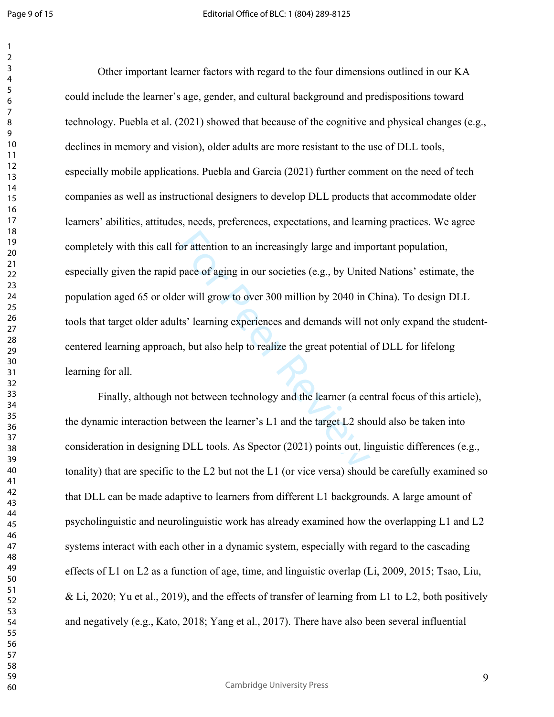$\mathbf{1}$  $\overline{2}$ 

For attention to an increasingly large and imp<br>pace of aging in our societies (e.g., by Unite<br>er will grow to over 300 million by 2040 in (<br>lts' learning experiences and demands will no<br>h, but also help to realize the gre Other important learner factors with regard to the four dimensions outlined in our KA could include the learner's age, gender, and cultural background and predispositions toward technology. Puebla et al. (2021) showed that because of the cognitive and physical changes (e.g., declines in memory and vision), older adults are more resistant to the use of DLL tools, especially mobile applications. Puebla and Garcia (2021) further comment on the need of tech companies as well as instructional designers to develop DLL products that accommodate older learners' abilities, attitudes, needs, preferences, expectations, and learning practices. We agree completely with this call for attention to an increasingly large and important population, especially given the rapid pace of aging in our societies (e.g., by United Nations' estimate, the population aged 65 or older will grow to over 300 million by 2040 in China). To design DLL tools that target older adults' learning experiences and demands will not only expand the studentcentered learning approach, but also help to realize the great potential of DLL for lifelong learning for all.

Finally, although not between technology and the learner (a central focus of this article), the dynamic interaction between the learner's L1 and the target L2 should also be taken into consideration in designing DLL tools. As Spector (2021) points out, linguistic differences (e.g., tonality) that are specific to the L2 but not the L1 (or vice versa) should be carefully examined so that DLL can be made adaptive to learners from different L1 backgrounds. A large amount of psycholinguistic and neurolinguistic work has already examined how the overlapping L1 and L2 systems interact with each other in a dynamic system, especially with regard to the cascading effects of L1 on L2 as a function of age, time, and linguistic overlap (Li, 2009, 2015; Tsao, Liu, & Li, 2020; Yu et al., 2019), and the effects of transfer of learning from L1 to L2, both positively and negatively (e.g., Kato, 2018; Yang et al., 2017). There have also been several influential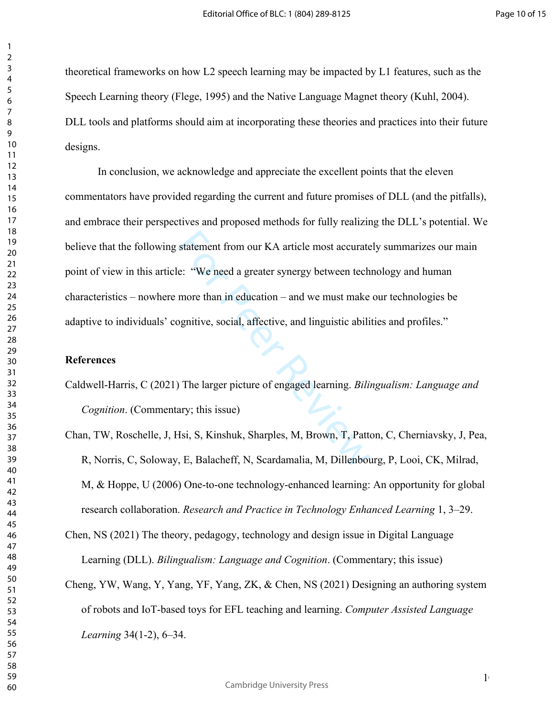$1<sub>0</sub>$ 

theoretical frameworks on how L2 speech learning may be impacted by L1 features, such as the Speech Learning theory (Flege, 1995) and the Native Language Magnet theory (Kuhl, 2004). DLL tools and platforms should aim at incorporating these theories and practices into their future designs.

statement from our KA article most accurate<br>
e: "We need a greater synergy between tech<br>
more than in education – and we must make<br>
ognitive, social, affective, and linguistic abili<br>
(ability)<br>
The larger picture of engage In conclusion, we acknowledge and appreciate the excellent points that the eleven commentators have provided regarding the current and future promises of DLL (and the pitfalls), and embrace their perspectives and proposed methods for fully realizing the DLL's potential. We believe that the following statement from our KA article most accurately summarizes our main point of view in this article: "We need a greater synergy between technology and human characteristics – nowhere more than in education – and we must make our technologies be adaptive to individuals' cognitive, social, affective, and linguistic abilities and profiles."

# **References**

- Caldwell-Harris, C (2021) The larger picture of engaged learning. *Bilingualism: Language and Cognition*. (Commentary; this issue)
- Chan, TW, Roschelle, J, Hsi, S, Kinshuk, Sharples, M, Brown, T, Patton, C, Cherniavsky, J, Pea, R, Norris, C, Soloway, E, Balacheff, N, Scardamalia, M, Dillenbourg, P, Looi, CK, Milrad, M, & Hoppe, U (2006) One-to-one technology-enhanced learning: An opportunity for global research collaboration. *Research and Practice in Technology Enhanced Learning* 1, 3–29.
- Chen, NS (2021) The theory, pedagogy, technology and design issue in Digital Language Learning (DLL). *Bilingualism: Language and Cognition*. (Commentary; this issue)
- Cheng, YW, Wang, Y, Yang, YF, Yang, ZK, & Chen, NS (2021) Designing an authoring system of robots and IoT-based toys for EFL teaching and learning. *Computer Assisted Language Learning* 34(1-2), 6–34.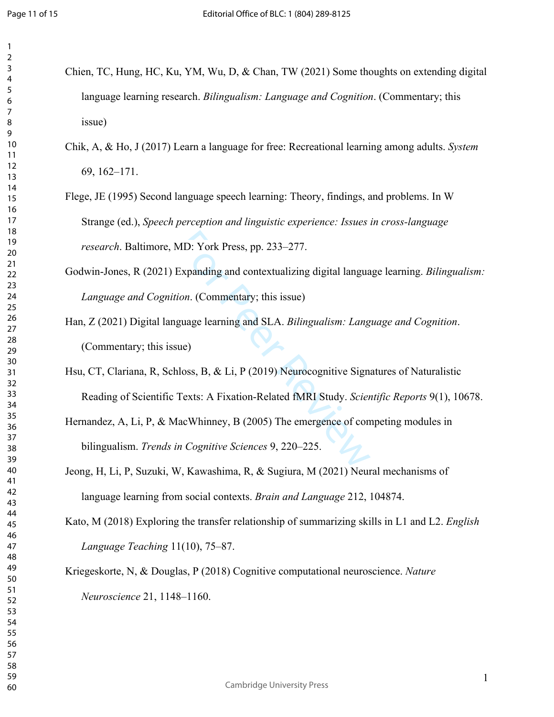| language learning research. Bilingualism: Language and Cognition. (Commentary; this            |
|------------------------------------------------------------------------------------------------|
| issue)                                                                                         |
| Chik, A, & Ho, J (2017) Learn a language for free: Recreational learning among adults. System  |
| $69, 162 - 171.$                                                                               |
| Flege, JE (1995) Second language speech learning: Theory, findings, and problems. In W         |
| Strange (ed.), Speech perception and linguistic experience: Issues in cross-language           |
| research. Baltimore, MD: York Press, pp. 233-277.                                              |
| Godwin-Jones, R (2021) Expanding and contextualizing digital language learning. Bilingualism:  |
| Language and Cognition. (Commentary; this issue)                                               |
| Han, Z (2021) Digital language learning and SLA. Bilingualism: Language and Cognition.         |
| (Commentary; this issue)                                                                       |
| Hsu, CT, Clariana, R, Schloss, B, & Li, P (2019) Neurocognitive Signatures of Naturalistic     |
| Reading of Scientific Texts: A Fixation-Related fMRI Study. Scientific Reports 9(1), 10678.    |
| Hernandez, A, Li, P, & MacWhinney, B (2005) The emergence of competing modules in              |
| bilingualism. Trends in Cognitive Sciences 9, 220-225.                                         |
| Jeong, H, Li, P, Suzuki, W, Kawashima, R, & Sugiura, M (2021) Neural mechanisms of             |
| language learning from social contexts. Brain and Language 212, 104874.                        |
| Kato, M (2018) Exploring the transfer relationship of summarizing skills in L1 and L2. English |
| Language Teaching 11(10), 75-87.                                                               |
| Kriegeskorte, N, & Douglas, P (2018) Cognitive computational neuroscience. Nature              |
| Neuroscience 21, 1148-1160.                                                                    |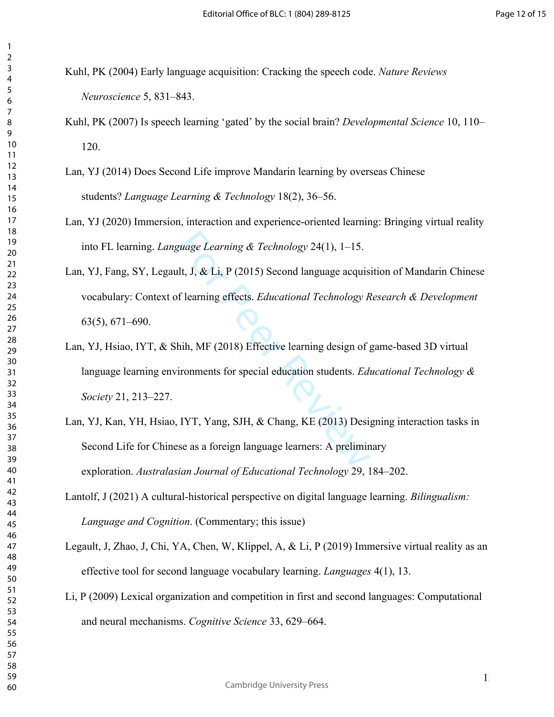- Kuhl, PK (2004) Early language acquisition: Cracking the speech code. *Nature Reviews Neuroscience* 5, 831–843.
- Kuhl, PK (2007) Is speech learning 'gated' by the social brain? *Developmental Science* 10, 110– 120.
- Lan, YJ (2014) Does Second Life improve Mandarin learning by overseas Chinese students? *Language Learning & Technology* 18(2), 36–56.
- Lan, YJ (2020) [Immersion, interaction and experience-oriented learning: Bringing virtual reality](https://scholarspace.manoa.hawaii.edu/bitstream/10125/44704/1/24_1_10125-44704.pdf)  [into FL learning.](https://scholarspace.manoa.hawaii.edu/bitstream/10125/44704/1/24_1_10125-44704.pdf) *Language Learning & Technology* 24(1), 1–15.
- quage Learning & Technology 24(1), 1–15.<br>
lt, J, & Li, P (2015) Second language acquis<br>
f learning effects. *Educational Technology R*<br>
hih, MF (2018) Effective learning design of g<br>
ironments for special education student Lan, YJ, Fang, SY, Legault, J, & Li, P (2015) Second language acquisition of Mandarin Chinese vocabulary: Context of learning effects. *Educational Technology Research & Development*  63(5), 671–690.
- Lan, YJ, Hsiao, IYT, & Shih, MF (2018) [Effective learning design of game-based 3D virtual](https://www.j-ets.net/ETS/journals/21_3/19.pdf)  [language learning environments for special education students.](https://www.j-ets.net/ETS/journals/21_3/19.pdf) *Educational Technology & Society* 21, 213–227.
- Lan, YJ, Kan, YH, Hsiao, IYT, Yang, SJH, & Chang, KE (2013) Designing interaction tasks in Second Life for Chinese as a foreign language learners: A preliminary exploration. *Australasian Journal of Educational Technology* 29, 184–202.
- Lantolf, J (2021) A cultural-historical perspective on digital language learning. *Bilingualism: Language and Cognition*. (Commentary; this issue)
- Legault, J, Zhao, J, Chi, YA, Chen, W, Klippel, A, & Li, P (2019) Immersive virtual reality as an effective tool for second language vocabulary learning. *Languages* 4(1), 13.
- Li, P (2009) Lexical organization and competition in first and second languages: Computational and neural mechanisms. *Cognitive Science* 33, 629–664.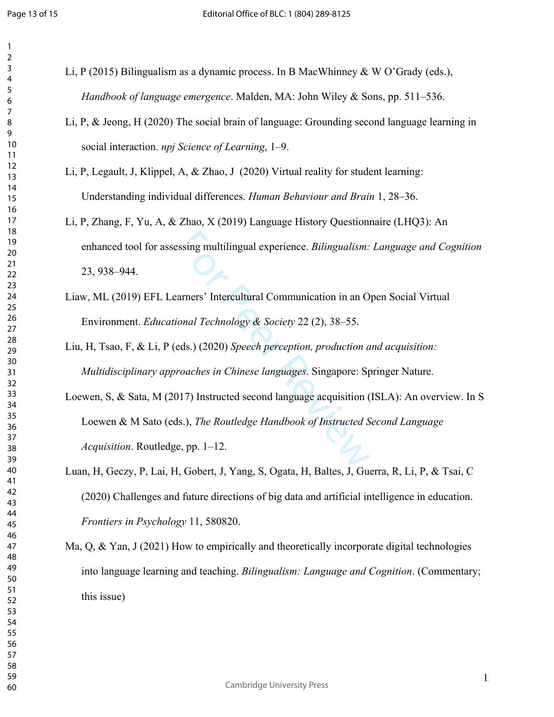| 3                            |
|------------------------------|
| 4                            |
| 5                            |
| 6                            |
|                              |
| 8                            |
|                              |
| 9                            |
| 10                           |
| 11                           |
| $\mathbf{1}$<br>2            |
| 13                           |
| 14                           |
| 15                           |
|                              |
| 16                           |
| $\overline{17}$              |
| 18                           |
| 19                           |
| 20                           |
| $\overline{21}$              |
| $\overline{2}$<br>,          |
| $^{23}$                      |
| $\frac{24}{5}$               |
|                              |
| 25                           |
| 26                           |
| 27                           |
| 28                           |
| 29                           |
| 30                           |
| $\overline{31}$              |
|                              |
| $\overline{\mathbf{3}}$<br>, |
| 33                           |
| 34                           |
| 35                           |
| 36                           |
| 37                           |
| 38                           |
| 39                           |
|                              |
| 40                           |
| 41                           |
| 42                           |
| 43                           |
| 44                           |
| 45                           |
| 46                           |
| 47                           |
|                              |
| 48                           |
| 49                           |
| 50                           |
| 51                           |
| 52                           |
| 53                           |
| 54                           |
| 55                           |
|                              |
| 56                           |
| 57                           |
| 58                           |
| 59                           |

Li, P (2015) Bilingualism as a dynamic process. In B MacWhinney & W O'Grady (eds.), *Handbook of language emergence*. Malden, MA: John Wiley & Sons, pp. 511–536.

Li, P, & Jeong, H (2020) The social brain of language: Grounding second language learning in social interaction. *npj Science of Learning*, 1–9.

Li, P, Legault, J, Klippel, A, & Zhao, J (2020) Virtual reality for student learning: Understanding individual differences. *Human Behaviour and Brain* 1, 28–36.

- Li, P, Zhang, F, Yu, A, & Zhao, X (2019) Language History Questionnaire (LHQ3): An enhanced tool for assessing multilingual experience. *Bilingualism: Language and Cognition*  23, 938–944.
- Liaw, ML (2019) EFL Learners' Intercultural Communication in an Open Social Virtual Environment. *Educational Technology & Society* 22 (2), 38–55.

Liu, H, Tsao, F, & Li, P (eds.) (2020) *Speech perception, production and acquisition: Multidisciplinary approaches in Chinese languages*. Singapore: Springer Nature.

ssing multilingual experience. *Bilingualism:*<br>
arners' Intercultural Communication in an O<br>
onal Technology & Society 22 (2), 38–55.<br>
eds.) (2020) Speech perception, production a<br>
roaches in Chinese languages. Singapore: Loewen, S, & Sata, M (2017) Instructed second language acquisition (ISLA): An overview. In S Loewen & M Sato (eds.), *The Routledge Handbook of Instructed Second Language Acquisition*. Routledge, pp. 1–12.

Luan, H, Geczy, P, Lai, H, Gobert, J, Yang, S, Ogata, H, Baltes, J, Guerra, R, Li, P, & Tsai, C (2020) Challenges and future directions of big data and artificial intelligence in education. *Frontiers in Psychology* 11, 580820.

Ma, Q, & Yan, J (2021) How to empirically and theoretically incorporate digital technologies into language learning and teaching. *Bilingualism: Language and Cognition*. (Commentary; this issue)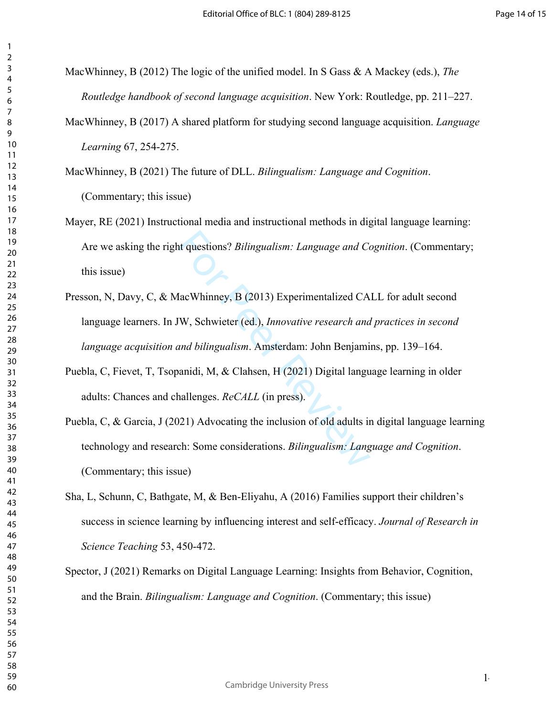| ,                            |
|------------------------------|
|                              |
| ξ                            |
| 4                            |
| 5                            |
|                              |
| 6                            |
|                              |
| 8                            |
|                              |
| )                            |
| 10                           |
|                              |
| $\mathbf{1}$<br>1            |
| $\mathbf{1}$<br>フ            |
| $\overline{3}$<br>1          |
|                              |
| 1.<br>4                      |
| 15                           |
| 16                           |
|                              |
| 1                            |
| 18                           |
| 9<br>1                       |
|                              |
| 20                           |
| $\overline{21}$              |
| $\overline{2}$<br>C          |
|                              |
| $\overline{2}$<br>3          |
| $\frac{24}{3}$               |
| 25                           |
|                              |
| 26                           |
| $^{27}$                      |
|                              |
| 28                           |
| 29                           |
| 30                           |
|                              |
| $\overline{\textbf{3}}$      |
| $\overline{\mathbf{3}}$<br>, |
| $\overline{\mathbf{3}}$<br>ξ |
|                              |
| $\frac{34}{3}$               |
| 35                           |
|                              |
| 36                           |
| 37                           |
| 38                           |
|                              |
| $\overline{\mathbf{3}}$<br>J |
| 40                           |
| 41                           |
|                              |
| $\ddot{a}$<br>2              |
| 43                           |
| 44                           |
|                              |
| 45                           |
| 46                           |
| 47                           |
|                              |
| 48                           |
| 49                           |
| 50                           |
|                              |
| 51                           |
| 5<br>2                       |
| 53                           |
|                              |
| 54                           |
| 55                           |
| 56                           |
|                              |
| 57                           |
| 58                           |
| 59                           |
|                              |
| 60                           |

MacWhinney, B (2012) The logic of the unified model. In S Gass & A Mackey (eds.), *The Routledge handbook of second language acquisition*. New York: Routledge, pp. 211–227.

MacWhinney, B (2017) A shared platform for studying second language acquisition. *Language Learning* 67, 254-275.

MacWhinney, B (2021) The future of DLL. *Bilingualism: Language and Cognition*. (Commentary; this issue)

- Mayer, RE (2021) Instructional media and instructional methods in digital language learning: Are we asking the right questions? *Bilingualism: Language and Cognition*. (Commentary; this issue)
- nt questions? *Bilingualism: Language and Co*<br> **Experimentalized CA**<br> **Experimentalized CA**<br> **EXPERIMALE (EXPERIMALE A)**<br> **EXPERIMALE A)**<br> **EXPERIMALE A)**<br> **EXPERIMALE A)**<br> **EXPERIMALE A)**<br> **EXPERIMALE A)**<br> **EXPERIMALE A)** Presson, N, Davy, C, & MacWhinney, B (2013) Experimentalized CALL for adult second language learners. In JW, Schwieter (ed.), *Innovative research and practices in second language acquisition and bilingualism*. Amsterdam: John Benjamins, pp. 139–164.
- Puebla, C, Fievet, T, Tsopanidi, M, & Clahsen, H (2021) Digital language learning in older adults: Chances and challenges. *ReCALL* (in press).
- Puebla, C, & Garcia, J (2021) Advocating the inclusion of old adults in digital language learning technology and research: Some considerations. *Bilingualism: Language and Cognition*. (Commentary; this issue)
- Sha, L, Schunn, C, Bathgate, M, & Ben-Eliyahu, A (2016) Families support their children's success in science learning by influencing interest and self-efficacy. *Journal of Research in Science Teaching* 53, 450-472.
- Spector, J (2021) Remarks on Digital Language Learning: Insights from Behavior, Cognition, and the Brain. *Bilingualism: Language and Cognition*. (Commentary; this issue)